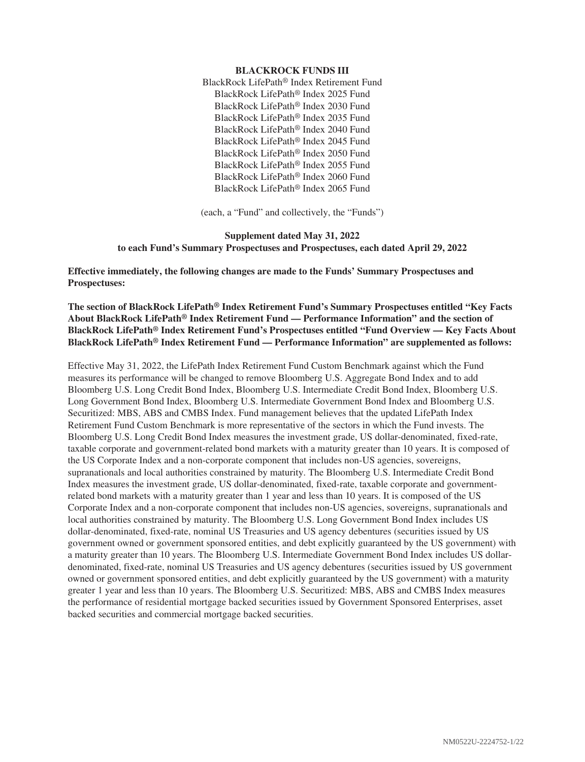#### **BLACKROCK FUNDS III**

BlackRock LifePath® Index Retirement Fund BlackRock LifePath® Index 2025 Fund BlackRock LifePath® Index 2030 Fund BlackRock LifePath® Index 2035 Fund BlackRock LifePath® Index 2040 Fund BlackRock LifePath® Index 2045 Fund BlackRock LifePath® Index 2050 Fund BlackRock LifePath® Index 2055 Fund BlackRock LifePath® Index 2060 Fund BlackRock LifePath® Index 2065 Fund

(each, a "Fund" and collectively, the "Funds")

#### **Supplement dated May 31, 2022 to each Fund's Summary Prospectuses and Prospectuses, each dated April 29, 2022**

**Effective immediately, the following changes are made to the Funds' Summary Prospectuses and Prospectuses:**

**The section of BlackRock LifePath® Index Retirement Fund's Summary Prospectuses entitled "Key Facts About BlackRock LifePath® Index Retirement Fund — Performance Information" and the section of BlackRock LifePath® Index Retirement Fund's Prospectuses entitled "Fund Overview — Key Facts About BlackRock LifePath® Index Retirement Fund — Performance Information" are supplemented as follows:**

Effective May 31, 2022, the LifePath Index Retirement Fund Custom Benchmark against which the Fund measures its performance will be changed to remove Bloomberg U.S. Aggregate Bond Index and to add Bloomberg U.S. Long Credit Bond Index, Bloomberg U.S. Intermediate Credit Bond Index, Bloomberg U.S. Long Government Bond Index, Bloomberg U.S. Intermediate Government Bond Index and Bloomberg U.S. Securitized: MBS, ABS and CMBS Index. Fund management believes that the updated LifePath Index Retirement Fund Custom Benchmark is more representative of the sectors in which the Fund invests. The Bloomberg U.S. Long Credit Bond Index measures the investment grade, US dollar-denominated, fixed-rate, taxable corporate and government-related bond markets with a maturity greater than 10 years. It is composed of the US Corporate Index and a non-corporate component that includes non-US agencies, sovereigns, supranationals and local authorities constrained by maturity. The Bloomberg U.S. Intermediate Credit Bond Index measures the investment grade, US dollar-denominated, fixed-rate, taxable corporate and governmentrelated bond markets with a maturity greater than 1 year and less than 10 years. It is composed of the US Corporate Index and a non-corporate component that includes non-US agencies, sovereigns, supranationals and local authorities constrained by maturity. The Bloomberg U.S. Long Government Bond Index includes US dollar-denominated, fixed-rate, nominal US Treasuries and US agency debentures (securities issued by US government owned or government sponsored entities, and debt explicitly guaranteed by the US government) with a maturity greater than 10 years. The Bloomberg U.S. Intermediate Government Bond Index includes US dollardenominated, fixed-rate, nominal US Treasuries and US agency debentures (securities issued by US government owned or government sponsored entities, and debt explicitly guaranteed by the US government) with a maturity greater 1 year and less than 10 years. The Bloomberg U.S. Securitized: MBS, ABS and CMBS Index measures the performance of residential mortgage backed securities issued by Government Sponsored Enterprises, asset backed securities and commercial mortgage backed securities.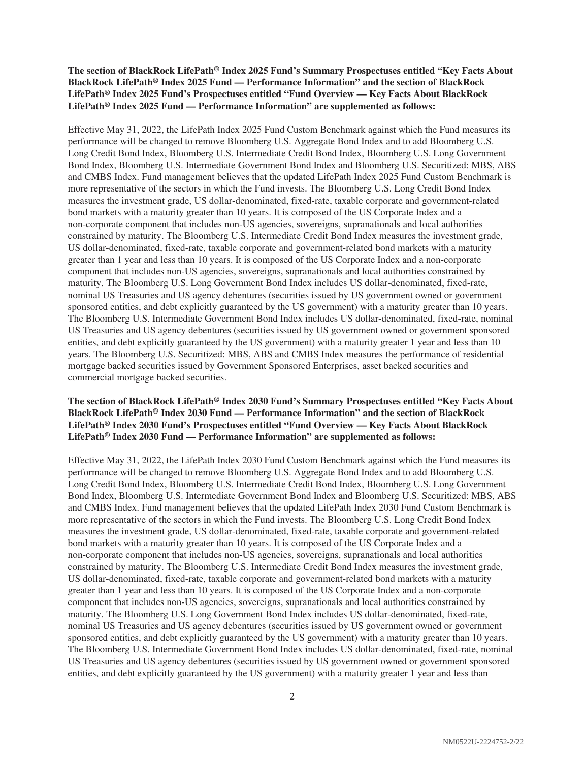### **The section of BlackRock LifePath® Index 2025 Fund's Summary Prospectuses entitled "Key Facts About BlackRock LifePath® Index 2025 Fund — Performance Information" and the section of BlackRock LifePath® Index 2025 Fund's Prospectuses entitled "Fund Overview — Key Facts About BlackRock LifePath® Index 2025 Fund — Performance Information" are supplemented as follows:**

Effective May 31, 2022, the LifePath Index 2025 Fund Custom Benchmark against which the Fund measures its performance will be changed to remove Bloomberg U.S. Aggregate Bond Index and to add Bloomberg U.S. Long Credit Bond Index, Bloomberg U.S. Intermediate Credit Bond Index, Bloomberg U.S. Long Government Bond Index, Bloomberg U.S. Intermediate Government Bond Index and Bloomberg U.S. Securitized: MBS, ABS and CMBS Index. Fund management believes that the updated LifePath Index 2025 Fund Custom Benchmark is more representative of the sectors in which the Fund invests. The Bloomberg U.S. Long Credit Bond Index measures the investment grade, US dollar-denominated, fixed-rate, taxable corporate and government-related bond markets with a maturity greater than 10 years. It is composed of the US Corporate Index and a non-corporate component that includes non-US agencies, sovereigns, supranationals and local authorities constrained by maturity. The Bloomberg U.S. Intermediate Credit Bond Index measures the investment grade, US dollar-denominated, fixed-rate, taxable corporate and government-related bond markets with a maturity greater than 1 year and less than 10 years. It is composed of the US Corporate Index and a non-corporate component that includes non-US agencies, sovereigns, supranationals and local authorities constrained by maturity. The Bloomberg U.S. Long Government Bond Index includes US dollar-denominated, fixed-rate, nominal US Treasuries and US agency debentures (securities issued by US government owned or government sponsored entities, and debt explicitly guaranteed by the US government) with a maturity greater than 10 years. The Bloomberg U.S. Intermediate Government Bond Index includes US dollar-denominated, fixed-rate, nominal US Treasuries and US agency debentures (securities issued by US government owned or government sponsored entities, and debt explicitly guaranteed by the US government) with a maturity greater 1 year and less than 10 years. The Bloomberg U.S. Securitized: MBS, ABS and CMBS Index measures the performance of residential mortgage backed securities issued by Government Sponsored Enterprises, asset backed securities and commercial mortgage backed securities.

## **The section of BlackRock LifePath® Index 2030 Fund's Summary Prospectuses entitled "Key Facts About BlackRock LifePath® Index 2030 Fund — Performance Information" and the section of BlackRock LifePath® Index 2030 Fund's Prospectuses entitled "Fund Overview — Key Facts About BlackRock LifePath® Index 2030 Fund — Performance Information" are supplemented as follows:**

Effective May 31, 2022, the LifePath Index 2030 Fund Custom Benchmark against which the Fund measures its performance will be changed to remove Bloomberg U.S. Aggregate Bond Index and to add Bloomberg U.S. Long Credit Bond Index, Bloomberg U.S. Intermediate Credit Bond Index, Bloomberg U.S. Long Government Bond Index, Bloomberg U.S. Intermediate Government Bond Index and Bloomberg U.S. Securitized: MBS, ABS and CMBS Index. Fund management believes that the updated LifePath Index 2030 Fund Custom Benchmark is more representative of the sectors in which the Fund invests. The Bloomberg U.S. Long Credit Bond Index measures the investment grade, US dollar-denominated, fixed-rate, taxable corporate and government-related bond markets with a maturity greater than 10 years. It is composed of the US Corporate Index and a non-corporate component that includes non-US agencies, sovereigns, supranationals and local authorities constrained by maturity. The Bloomberg U.S. Intermediate Credit Bond Index measures the investment grade, US dollar-denominated, fixed-rate, taxable corporate and government-related bond markets with a maturity greater than 1 year and less than 10 years. It is composed of the US Corporate Index and a non-corporate component that includes non-US agencies, sovereigns, supranationals and local authorities constrained by maturity. The Bloomberg U.S. Long Government Bond Index includes US dollar-denominated, fixed-rate, nominal US Treasuries and US agency debentures (securities issued by US government owned or government sponsored entities, and debt explicitly guaranteed by the US government) with a maturity greater than 10 years. The Bloomberg U.S. Intermediate Government Bond Index includes US dollar-denominated, fixed-rate, nominal US Treasuries and US agency debentures (securities issued by US government owned or government sponsored entities, and debt explicitly guaranteed by the US government) with a maturity greater 1 year and less than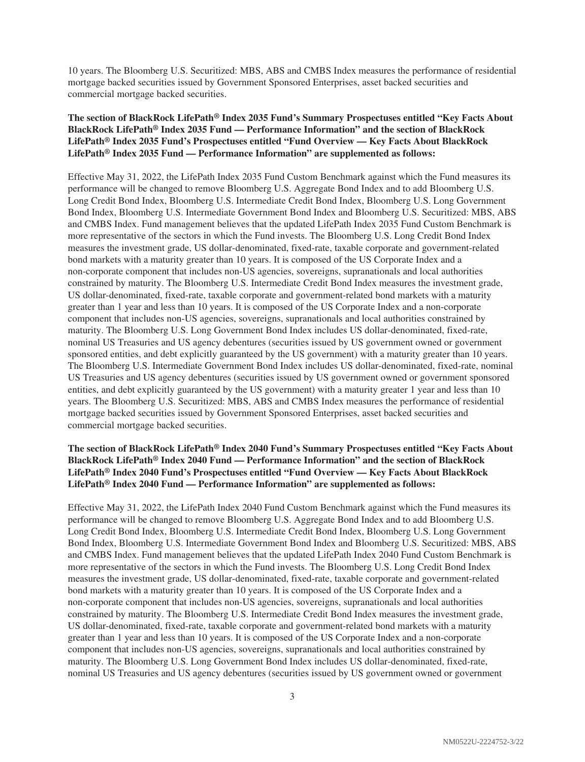10 years. The Bloomberg U.S. Securitized: MBS, ABS and CMBS Index measures the performance of residential mortgage backed securities issued by Government Sponsored Enterprises, asset backed securities and commercial mortgage backed securities.

## **The section of BlackRock LifePath® Index 2035 Fund's Summary Prospectuses entitled "Key Facts About BlackRock LifePath® Index 2035 Fund — Performance Information" and the section of BlackRock LifePath® Index 2035 Fund's Prospectuses entitled "Fund Overview — Key Facts About BlackRock LifePath® Index 2035 Fund — Performance Information" are supplemented as follows:**

Effective May 31, 2022, the LifePath Index 2035 Fund Custom Benchmark against which the Fund measures its performance will be changed to remove Bloomberg U.S. Aggregate Bond Index and to add Bloomberg U.S. Long Credit Bond Index, Bloomberg U.S. Intermediate Credit Bond Index, Bloomberg U.S. Long Government Bond Index, Bloomberg U.S. Intermediate Government Bond Index and Bloomberg U.S. Securitized: MBS, ABS and CMBS Index. Fund management believes that the updated LifePath Index 2035 Fund Custom Benchmark is more representative of the sectors in which the Fund invests. The Bloomberg U.S. Long Credit Bond Index measures the investment grade, US dollar-denominated, fixed-rate, taxable corporate and government-related bond markets with a maturity greater than 10 years. It is composed of the US Corporate Index and a non-corporate component that includes non-US agencies, sovereigns, supranationals and local authorities constrained by maturity. The Bloomberg U.S. Intermediate Credit Bond Index measures the investment grade, US dollar-denominated, fixed-rate, taxable corporate and government-related bond markets with a maturity greater than 1 year and less than 10 years. It is composed of the US Corporate Index and a non-corporate component that includes non-US agencies, sovereigns, supranationals and local authorities constrained by maturity. The Bloomberg U.S. Long Government Bond Index includes US dollar-denominated, fixed-rate, nominal US Treasuries and US agency debentures (securities issued by US government owned or government sponsored entities, and debt explicitly guaranteed by the US government) with a maturity greater than 10 years. The Bloomberg U.S. Intermediate Government Bond Index includes US dollar-denominated, fixed-rate, nominal US Treasuries and US agency debentures (securities issued by US government owned or government sponsored entities, and debt explicitly guaranteed by the US government) with a maturity greater 1 year and less than 10 years. The Bloomberg U.S. Securitized: MBS, ABS and CMBS Index measures the performance of residential mortgage backed securities issued by Government Sponsored Enterprises, asset backed securities and commercial mortgage backed securities.

## **The section of BlackRock LifePath® Index 2040 Fund's Summary Prospectuses entitled "Key Facts About BlackRock LifePath® Index 2040 Fund — Performance Information" and the section of BlackRock LifePath® Index 2040 Fund's Prospectuses entitled "Fund Overview — Key Facts About BlackRock LifePath® Index 2040 Fund — Performance Information" are supplemented as follows:**

Effective May 31, 2022, the LifePath Index 2040 Fund Custom Benchmark against which the Fund measures its performance will be changed to remove Bloomberg U.S. Aggregate Bond Index and to add Bloomberg U.S. Long Credit Bond Index, Bloomberg U.S. Intermediate Credit Bond Index, Bloomberg U.S. Long Government Bond Index, Bloomberg U.S. Intermediate Government Bond Index and Bloomberg U.S. Securitized: MBS, ABS and CMBS Index. Fund management believes that the updated LifePath Index 2040 Fund Custom Benchmark is more representative of the sectors in which the Fund invests. The Bloomberg U.S. Long Credit Bond Index measures the investment grade, US dollar-denominated, fixed-rate, taxable corporate and government-related bond markets with a maturity greater than 10 years. It is composed of the US Corporate Index and a non-corporate component that includes non-US agencies, sovereigns, supranationals and local authorities constrained by maturity. The Bloomberg U.S. Intermediate Credit Bond Index measures the investment grade, US dollar-denominated, fixed-rate, taxable corporate and government-related bond markets with a maturity greater than 1 year and less than 10 years. It is composed of the US Corporate Index and a non-corporate component that includes non-US agencies, sovereigns, supranationals and local authorities constrained by maturity. The Bloomberg U.S. Long Government Bond Index includes US dollar-denominated, fixed-rate, nominal US Treasuries and US agency debentures (securities issued by US government owned or government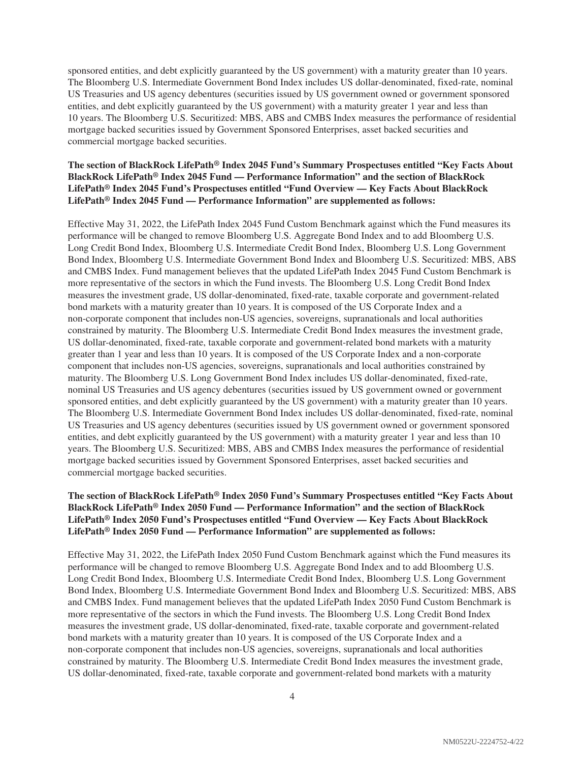sponsored entities, and debt explicitly guaranteed by the US government) with a maturity greater than 10 years. The Bloomberg U.S. Intermediate Government Bond Index includes US dollar-denominated, fixed-rate, nominal US Treasuries and US agency debentures (securities issued by US government owned or government sponsored entities, and debt explicitly guaranteed by the US government) with a maturity greater 1 year and less than 10 years. The Bloomberg U.S. Securitized: MBS, ABS and CMBS Index measures the performance of residential mortgage backed securities issued by Government Sponsored Enterprises, asset backed securities and commercial mortgage backed securities.

#### **The section of BlackRock LifePath® Index 2045 Fund's Summary Prospectuses entitled "Key Facts About BlackRock LifePath® Index 2045 Fund — Performance Information" and the section of BlackRock LifePath® Index 2045 Fund's Prospectuses entitled "Fund Overview — Key Facts About BlackRock LifePath® Index 2045 Fund — Performance Information" are supplemented as follows:**

Effective May 31, 2022, the LifePath Index 2045 Fund Custom Benchmark against which the Fund measures its performance will be changed to remove Bloomberg U.S. Aggregate Bond Index and to add Bloomberg U.S. Long Credit Bond Index, Bloomberg U.S. Intermediate Credit Bond Index, Bloomberg U.S. Long Government Bond Index, Bloomberg U.S. Intermediate Government Bond Index and Bloomberg U.S. Securitized: MBS, ABS and CMBS Index. Fund management believes that the updated LifePath Index 2045 Fund Custom Benchmark is more representative of the sectors in which the Fund invests. The Bloomberg U.S. Long Credit Bond Index measures the investment grade, US dollar-denominated, fixed-rate, taxable corporate and government-related bond markets with a maturity greater than 10 years. It is composed of the US Corporate Index and a non-corporate component that includes non-US agencies, sovereigns, supranationals and local authorities constrained by maturity. The Bloomberg U.S. Intermediate Credit Bond Index measures the investment grade, US dollar-denominated, fixed-rate, taxable corporate and government-related bond markets with a maturity greater than 1 year and less than 10 years. It is composed of the US Corporate Index and a non-corporate component that includes non-US agencies, sovereigns, supranationals and local authorities constrained by maturity. The Bloomberg U.S. Long Government Bond Index includes US dollar-denominated, fixed-rate, nominal US Treasuries and US agency debentures (securities issued by US government owned or government sponsored entities, and debt explicitly guaranteed by the US government) with a maturity greater than 10 years. The Bloomberg U.S. Intermediate Government Bond Index includes US dollar-denominated, fixed-rate, nominal US Treasuries and US agency debentures (securities issued by US government owned or government sponsored entities, and debt explicitly guaranteed by the US government) with a maturity greater 1 year and less than 10 years. The Bloomberg U.S. Securitized: MBS, ABS and CMBS Index measures the performance of residential mortgage backed securities issued by Government Sponsored Enterprises, asset backed securities and commercial mortgage backed securities.

## **The section of BlackRock LifePath® Index 2050 Fund's Summary Prospectuses entitled "Key Facts About BlackRock LifePath® Index 2050 Fund — Performance Information" and the section of BlackRock LifePath® Index 2050 Fund's Prospectuses entitled "Fund Overview — Key Facts About BlackRock LifePath® Index 2050 Fund — Performance Information" are supplemented as follows:**

Effective May 31, 2022, the LifePath Index 2050 Fund Custom Benchmark against which the Fund measures its performance will be changed to remove Bloomberg U.S. Aggregate Bond Index and to add Bloomberg U.S. Long Credit Bond Index, Bloomberg U.S. Intermediate Credit Bond Index, Bloomberg U.S. Long Government Bond Index, Bloomberg U.S. Intermediate Government Bond Index and Bloomberg U.S. Securitized: MBS, ABS and CMBS Index. Fund management believes that the updated LifePath Index 2050 Fund Custom Benchmark is more representative of the sectors in which the Fund invests. The Bloomberg U.S. Long Credit Bond Index measures the investment grade, US dollar-denominated, fixed-rate, taxable corporate and government-related bond markets with a maturity greater than 10 years. It is composed of the US Corporate Index and a non-corporate component that includes non-US agencies, sovereigns, supranationals and local authorities constrained by maturity. The Bloomberg U.S. Intermediate Credit Bond Index measures the investment grade, US dollar-denominated, fixed-rate, taxable corporate and government-related bond markets with a maturity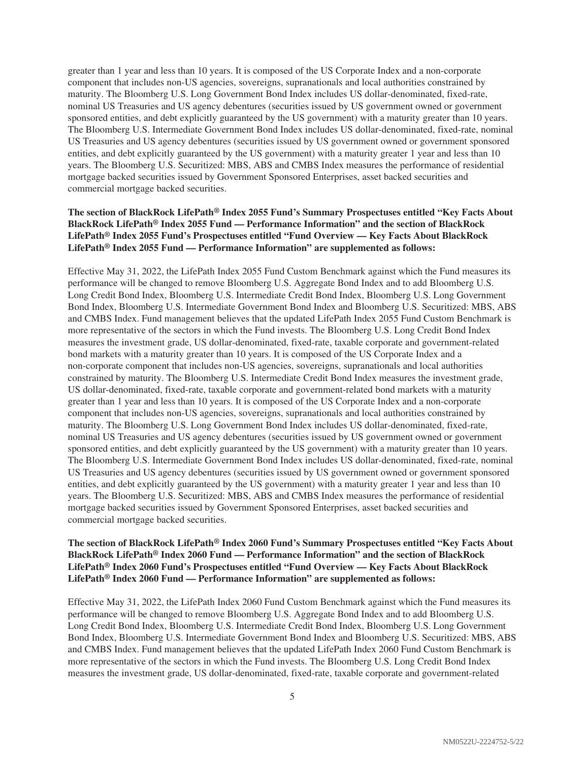greater than 1 year and less than 10 years. It is composed of the US Corporate Index and a non-corporate component that includes non-US agencies, sovereigns, supranationals and local authorities constrained by maturity. The Bloomberg U.S. Long Government Bond Index includes US dollar-denominated, fixed-rate, nominal US Treasuries and US agency debentures (securities issued by US government owned or government sponsored entities, and debt explicitly guaranteed by the US government) with a maturity greater than 10 years. The Bloomberg U.S. Intermediate Government Bond Index includes US dollar-denominated, fixed-rate, nominal US Treasuries and US agency debentures (securities issued by US government owned or government sponsored entities, and debt explicitly guaranteed by the US government) with a maturity greater 1 year and less than 10 years. The Bloomberg U.S. Securitized: MBS, ABS and CMBS Index measures the performance of residential mortgage backed securities issued by Government Sponsored Enterprises, asset backed securities and commercial mortgage backed securities.

## **The section of BlackRock LifePath® Index 2055 Fund's Summary Prospectuses entitled "Key Facts About BlackRock LifePath® Index 2055 Fund — Performance Information" and the section of BlackRock LifePath® Index 2055 Fund's Prospectuses entitled "Fund Overview — Key Facts About BlackRock LifePath® Index 2055 Fund — Performance Information" are supplemented as follows:**

Effective May 31, 2022, the LifePath Index 2055 Fund Custom Benchmark against which the Fund measures its performance will be changed to remove Bloomberg U.S. Aggregate Bond Index and to add Bloomberg U.S. Long Credit Bond Index, Bloomberg U.S. Intermediate Credit Bond Index, Bloomberg U.S. Long Government Bond Index, Bloomberg U.S. Intermediate Government Bond Index and Bloomberg U.S. Securitized: MBS, ABS and CMBS Index. Fund management believes that the updated LifePath Index 2055 Fund Custom Benchmark is more representative of the sectors in which the Fund invests. The Bloomberg U.S. Long Credit Bond Index measures the investment grade, US dollar-denominated, fixed-rate, taxable corporate and government-related bond markets with a maturity greater than 10 years. It is composed of the US Corporate Index and a non-corporate component that includes non-US agencies, sovereigns, supranationals and local authorities constrained by maturity. The Bloomberg U.S. Intermediate Credit Bond Index measures the investment grade, US dollar-denominated, fixed-rate, taxable corporate and government-related bond markets with a maturity greater than 1 year and less than 10 years. It is composed of the US Corporate Index and a non-corporate component that includes non-US agencies, sovereigns, supranationals and local authorities constrained by maturity. The Bloomberg U.S. Long Government Bond Index includes US dollar-denominated, fixed-rate, nominal US Treasuries and US agency debentures (securities issued by US government owned or government sponsored entities, and debt explicitly guaranteed by the US government) with a maturity greater than 10 years. The Bloomberg U.S. Intermediate Government Bond Index includes US dollar-denominated, fixed-rate, nominal US Treasuries and US agency debentures (securities issued by US government owned or government sponsored entities, and debt explicitly guaranteed by the US government) with a maturity greater 1 year and less than 10 years. The Bloomberg U.S. Securitized: MBS, ABS and CMBS Index measures the performance of residential mortgage backed securities issued by Government Sponsored Enterprises, asset backed securities and commercial mortgage backed securities.

### **The section of BlackRock LifePath® Index 2060 Fund's Summary Prospectuses entitled "Key Facts About BlackRock LifePath® Index 2060 Fund — Performance Information" and the section of BlackRock LifePath® Index 2060 Fund's Prospectuses entitled "Fund Overview — Key Facts About BlackRock LifePath® Index 2060 Fund — Performance Information" are supplemented as follows:**

Effective May 31, 2022, the LifePath Index 2060 Fund Custom Benchmark against which the Fund measures its performance will be changed to remove Bloomberg U.S. Aggregate Bond Index and to add Bloomberg U.S. Long Credit Bond Index, Bloomberg U.S. Intermediate Credit Bond Index, Bloomberg U.S. Long Government Bond Index, Bloomberg U.S. Intermediate Government Bond Index and Bloomberg U.S. Securitized: MBS, ABS and CMBS Index. Fund management believes that the updated LifePath Index 2060 Fund Custom Benchmark is more representative of the sectors in which the Fund invests. The Bloomberg U.S. Long Credit Bond Index measures the investment grade, US dollar-denominated, fixed-rate, taxable corporate and government-related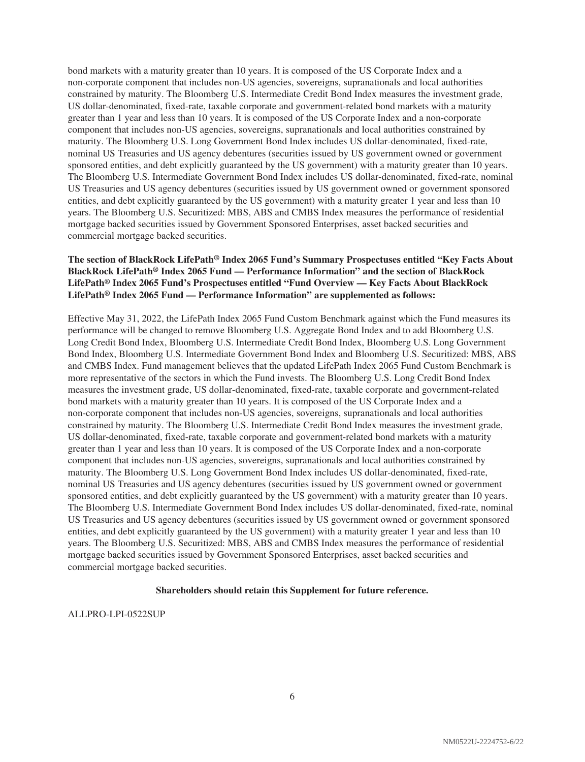bond markets with a maturity greater than 10 years. It is composed of the US Corporate Index and a non-corporate component that includes non-US agencies, sovereigns, supranationals and local authorities constrained by maturity. The Bloomberg U.S. Intermediate Credit Bond Index measures the investment grade, US dollar-denominated, fixed-rate, taxable corporate and government-related bond markets with a maturity greater than 1 year and less than 10 years. It is composed of the US Corporate Index and a non-corporate component that includes non-US agencies, sovereigns, supranationals and local authorities constrained by maturity. The Bloomberg U.S. Long Government Bond Index includes US dollar-denominated, fixed-rate, nominal US Treasuries and US agency debentures (securities issued by US government owned or government sponsored entities, and debt explicitly guaranteed by the US government) with a maturity greater than 10 years. The Bloomberg U.S. Intermediate Government Bond Index includes US dollar-denominated, fixed-rate, nominal US Treasuries and US agency debentures (securities issued by US government owned or government sponsored entities, and debt explicitly guaranteed by the US government) with a maturity greater 1 year and less than 10 years. The Bloomberg U.S. Securitized: MBS, ABS and CMBS Index measures the performance of residential mortgage backed securities issued by Government Sponsored Enterprises, asset backed securities and commercial mortgage backed securities.

### **The section of BlackRock LifePath® Index 2065 Fund's Summary Prospectuses entitled "Key Facts About BlackRock LifePath® Index 2065 Fund — Performance Information" and the section of BlackRock LifePath® Index 2065 Fund's Prospectuses entitled "Fund Overview — Key Facts About BlackRock LifePath® Index 2065 Fund — Performance Information" are supplemented as follows:**

Effective May 31, 2022, the LifePath Index 2065 Fund Custom Benchmark against which the Fund measures its performance will be changed to remove Bloomberg U.S. Aggregate Bond Index and to add Bloomberg U.S. Long Credit Bond Index, Bloomberg U.S. Intermediate Credit Bond Index, Bloomberg U.S. Long Government Bond Index, Bloomberg U.S. Intermediate Government Bond Index and Bloomberg U.S. Securitized: MBS, ABS and CMBS Index. Fund management believes that the updated LifePath Index 2065 Fund Custom Benchmark is more representative of the sectors in which the Fund invests. The Bloomberg U.S. Long Credit Bond Index measures the investment grade, US dollar-denominated, fixed-rate, taxable corporate and government-related bond markets with a maturity greater than 10 years. It is composed of the US Corporate Index and a non-corporate component that includes non-US agencies, sovereigns, supranationals and local authorities constrained by maturity. The Bloomberg U.S. Intermediate Credit Bond Index measures the investment grade, US dollar-denominated, fixed-rate, taxable corporate and government-related bond markets with a maturity greater than 1 year and less than 10 years. It is composed of the US Corporate Index and a non-corporate component that includes non-US agencies, sovereigns, supranationals and local authorities constrained by maturity. The Bloomberg U.S. Long Government Bond Index includes US dollar-denominated, fixed-rate, nominal US Treasuries and US agency debentures (securities issued by US government owned or government sponsored entities, and debt explicitly guaranteed by the US government) with a maturity greater than 10 years. The Bloomberg U.S. Intermediate Government Bond Index includes US dollar-denominated, fixed-rate, nominal US Treasuries and US agency debentures (securities issued by US government owned or government sponsored entities, and debt explicitly guaranteed by the US government) with a maturity greater 1 year and less than 10 years. The Bloomberg U.S. Securitized: MBS, ABS and CMBS Index measures the performance of residential mortgage backed securities issued by Government Sponsored Enterprises, asset backed securities and commercial mortgage backed securities.

#### **Shareholders should retain this Supplement for future reference.**

ALLPRO-LPI-0522SUP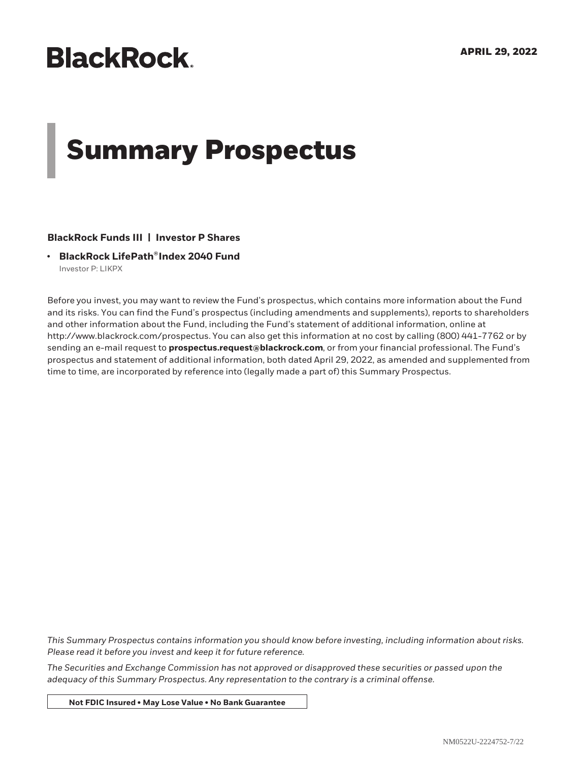## **BlackRock.**

# **Summary Prospectus**

## **BlackRock Funds III | Investor P Shares**

‰ **BlackRock LifePath®Index 2040 Fund** Investor P: LIKPX

Before you invest, you may want to review the Fund's prospectus, which contains more information about the Fund and its risks. You can find the Fund's prospectus (including amendments and supplements), reports to shareholders and other information about the Fund, including the Fund's statement of additional information, online at http://www.blackrock.com/prospectus. You can also get this information at no cost by calling (800) 441-7762 or by sending an e-mail request to **prospectus.request@blackrock.com**, or from your financial professional. The Fund's [prospectus and statement of additional information,](https://www.sec.gov/ix?doc=/Archives/edgar/data/893818/000119312522131388/d268845d485bpos.htm) both dated April 29, 2022, as amended and supplemented from time to time, are incorporated by reference into (legally made a part of) this Summary Prospectus.

*This Summary Prospectus contains information you should know before investing, including information about risks. Please read it before you invest and keep it for future reference.*

*The Securities and Exchange Commission has not approved or disapproved these securities or passed upon the adequacy of this Summary Prospectus. Any representation to the contrary is a criminal offense.*

**Not FDIC Insured • May Lose Value • No Bank Guarantee**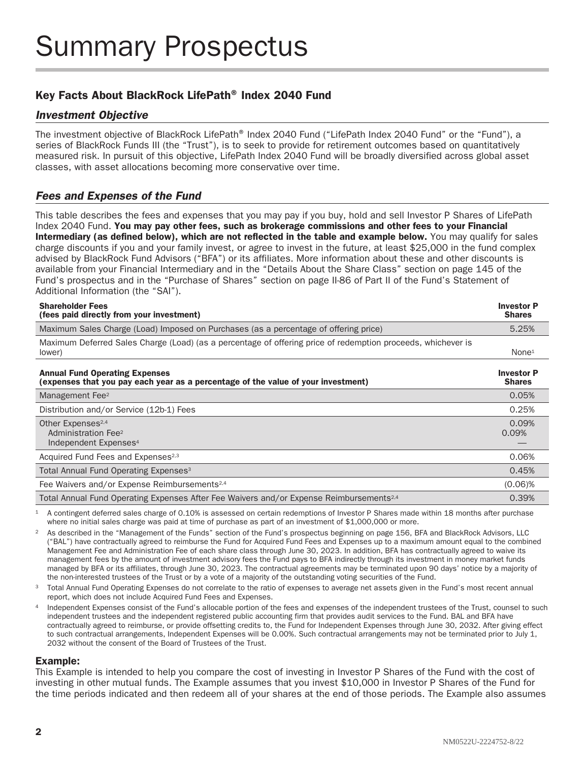## Key Facts About BlackRock LifePath®Index 2040 Fund

## Investment Objective

The investment objective of BlackRock LifePath® Index 2040 Fund ("LifePath Index 2040 Fund" or the "Fund"), a series of BlackRock Funds III (the "Trust"), is to seek to provide for retirement outcomes based on quantitatively measured risk. In pursuit of this objective, LifePath Index 2040 Fund will be broadly diversified across global asset classes, with asset allocations becoming more conservative over time.

## Fees and Expenses of the Fund

This table describes the fees and expenses that you may pay if you buy, hold and sell Investor P Shares of LifePath Index 2040 Fund. You may pay other fees, such as brokerage commissions and other fees to your Financial Intermediary (as defined below), which are not reflected in the table and example below. You may qualify for sales charge discounts if you and your family invest, or agree to invest in the future, at least \$25,000 in the fund complex advised by BlackRock Fund Advisors ("BFA") or its affiliates. More information about these and other discounts is available from your Financial Intermediary and in the "Details About the Share Class" section on page 145 of the Fund's prospectus and in the "Purchase of Shares" section on page II-86 of Part II of the Fund's Statement of Additional Information (the "SAI").

| <b>Shareholder Fees</b><br>(fees paid directly from your investment)                                                       | <b>Investor P</b><br><b>Shares</b> |
|----------------------------------------------------------------------------------------------------------------------------|------------------------------------|
| Maximum Sales Charge (Load) Imposed on Purchases (as a percentage of offering price)                                       | 5.25%                              |
| Maximum Deferred Sales Charge (Load) (as a percentage of offering price of redemption proceeds, whichever is<br>lower)     | None <sup>1</sup>                  |
| <b>Annual Fund Operating Expenses</b><br>(expenses that you pay each year as a percentage of the value of your investment) | <b>Investor P</b><br><b>Shares</b> |
| Management Fee <sup>2</sup>                                                                                                | 0.05%                              |
| Distribution and/or Service (12b-1) Fees                                                                                   | 0.25%                              |
| Other Expenses <sup>2,4</sup><br>Administration Fee <sup>2</sup><br>Independent Expenses <sup>4</sup>                      | 0.09%<br>0.09%                     |
| Acquired Fund Fees and Expenses <sup>2,3</sup>                                                                             | 0.06%                              |
| Total Annual Fund Operating Expenses <sup>3</sup>                                                                          | 0.45%                              |
| Fee Waivers and/or Expense Reimbursements <sup>2,4</sup>                                                                   | $(0.06)\%$                         |
| Total Annual Fund Operating Expenses After Fee Waivers and/or Expense Reimbursements <sup>2,4</sup>                        | 0.39%                              |

<sup>1</sup> A contingent deferred sales charge of 0.10% is assessed on certain redemptions of Investor P Shares made within 18 months after purchase where no initial sales charge was paid at time of purchase as part of an investment of \$1,000,000 or more.

<sup>2</sup> As described in the "Management of the Funds" section of the Fund's prospectus beginning on page 156, BFA and BlackRock Advisors, LLC ("BAL") have contractually agreed to reimburse the Fund for Acquired Fund Fees and Expenses up to a maximum amount equal to the combined Management Fee and Administration Fee of each share class through June 30, 2023. In addition, BFA has contractually agreed to waive its management fees by the amount of investment advisory fees the Fund pays to BFA indirectly through its investment in money market funds managed by BFA or its affiliates, through June 30, 2023. The contractual agreements may be terminated upon 90 days' notice by a majority of the non-interested trustees of the Trust or by a vote of a majority of the outstanding voting securities of the Fund.

<sup>3</sup> Total Annual Fund Operating Expenses do not correlate to the ratio of expenses to average net assets given in the Fund's most recent annual report, which does not include Acquired Fund Fees and Expenses.

Independent Expenses consist of the Fund's allocable portion of the fees and expenses of the independent trustees of the Trust, counsel to such independent trustees and the independent registered public accounting firm that provides audit services to the Fund. BAL and BFA have contractually agreed to reimburse, or provide offsetting credits to, the Fund for Independent Expenses through June 30, 2032. After giving effect to such contractual arrangements, Independent Expenses will be 0.00%. Such contractual arrangements may not be terminated prior to July 1, 2032 without the consent of the Board of Trustees of the Trust.

#### Example:

This Example is intended to help you compare the cost of investing in Investor P Shares of the Fund with the cost of investing in other mutual funds. The Example assumes that you invest \$10,000 in Investor P Shares of the Fund for the time periods indicated and then redeem all of your shares at the end of those periods. The Example also assumes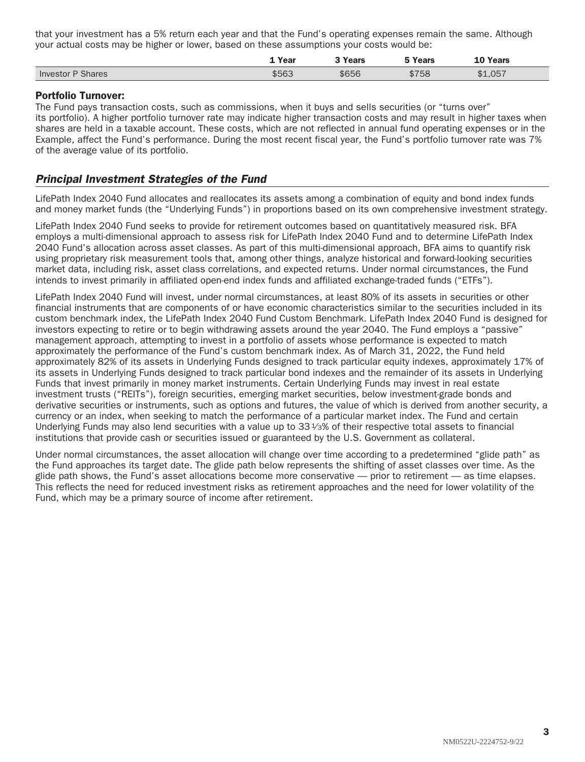that your investment has a 5% return each year and that the Fund's operating expenses remain the same. Although your actual costs may be higher or lower, based on these assumptions your costs would be:

|                             | Year  | <sup>→</sup> Years | Vears | 10 Years |  |
|-----------------------------|-------|--------------------|-------|----------|--|
| <b>P</b> Shares<br>Investor | \$563 | \$656              | \$758 | \$1,057  |  |

## Portfolio Turnover:

The Fund pays transaction costs, such as commissions, when it buys and sells securities (or "turns over" its portfolio). A higher portfolio turnover rate may indicate higher transaction costs and may result in higher taxes when shares are held in a taxable account. These costs, which are not reflected in annual fund operating expenses or in the Example, affect the Fund's performance. During the most recent fiscal year, the Fund's portfolio turnover rate was 7% of the average value of its portfolio.

## Principal Investment Strategies of the Fund

LifePath Index 2040 Fund allocates and reallocates its assets among a combination of equity and bond index funds and money market funds (the "Underlying Funds") in proportions based on its own comprehensive investment strategy.

LifePath Index 2040 Fund seeks to provide for retirement outcomes based on quantitatively measured risk. BFA employs a multi-dimensional approach to assess risk for LifePath Index 2040 Fund and to determine LifePath Index 2040 Fund's allocation across asset classes. As part of this multi-dimensional approach, BFA aims to quantify risk using proprietary risk measurement tools that, among other things, analyze historical and forward-looking securities market data, including risk, asset class correlations, and expected returns. Under normal circumstances, the Fund intends to invest primarily in affiliated open-end index funds and affiliated exchange-traded funds ("ETFs").

LifePath Index 2040 Fund will invest, under normal circumstances, at least 80% of its assets in securities or other financial instruments that are components of or have economic characteristics similar to the securities included in its custom benchmark index, the LifePath Index 2040 Fund Custom Benchmark. LifePath Index 2040 Fund is designed for investors expecting to retire or to begin withdrawing assets around the year 2040. The Fund employs a "passive" management approach, attempting to invest in a portfolio of assets whose performance is expected to match approximately the performance of the Fund's custom benchmark index. As of March 31, 2022, the Fund held approximately 82% of its assets in Underlying Funds designed to track particular equity indexes, approximately 17% of its assets in Underlying Funds designed to track particular bond indexes and the remainder of its assets in Underlying Funds that invest primarily in money market instruments. Certain Underlying Funds may invest in real estate investment trusts ("REITs"), foreign securities, emerging market securities, below investment-grade bonds and derivative securities or instruments, such as options and futures, the value of which is derived from another security, a currency or an index, when seeking to match the performance of a particular market index. The Fund and certain Underlying Funds may also lend securities with a value up to 331/3% of their respective total assets to financial institutions that provide cash or securities issued or guaranteed by the U.S. Government as collateral.

Under normal circumstances, the asset allocation will change over time according to a predetermined "glide path" as the Fund approaches its target date. The glide path below represents the shifting of asset classes over time. As the glide path shows, the Fund's asset allocations become more conservative — prior to retirement — as time elapses. This reflects the need for reduced investment risks as retirement approaches and the need for lower volatility of the Fund, which may be a primary source of income after retirement.

3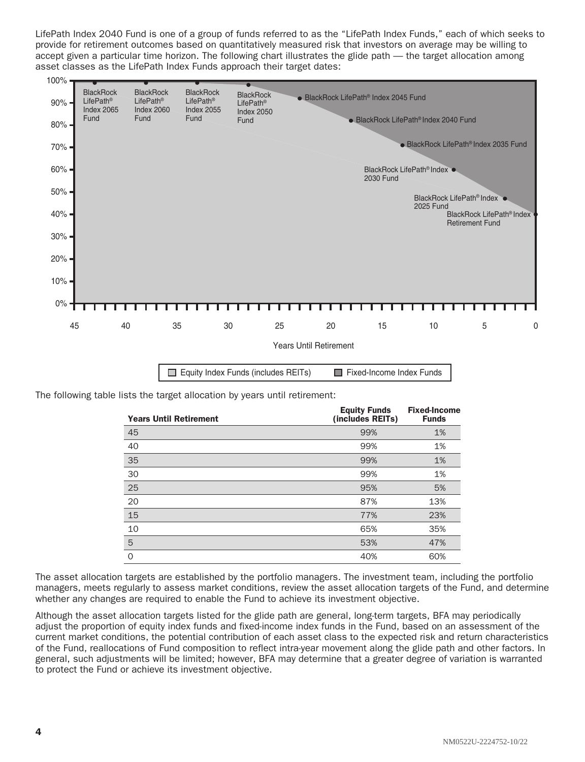LifePath Index 2040 Fund is one of a group of funds referred to as the "LifePath Index Funds," each of which seeks to provide for retirement outcomes based on quantitatively measured risk that investors on average may be willing to accept given a particular time horizon. The following chart illustrates the glide path — the target allocation among asset classes as the LifePath Index Funds approach their target dates:



The following table lists the target allocation by years until retirement:

| <b>Years Until Retirement</b> | <b>Equity Funds</b><br>(includes REITs) | <b>Fixed-Income</b><br><b>Funds</b> |
|-------------------------------|-----------------------------------------|-------------------------------------|
| 45                            | 99%                                     | 1%                                  |
| 40                            | 99%                                     | 1%                                  |
| 35                            | 99%                                     | 1%                                  |
| 30                            | 99%                                     | 1%                                  |
| 25                            | 95%                                     | 5%                                  |
| 20                            | 87%                                     | 13%                                 |
| 15                            | 77%                                     | 23%                                 |
| 10                            | 65%                                     | 35%                                 |
| 5                             | 53%                                     | 47%                                 |
| Ⴖ                             | 40%                                     | 60%                                 |

The asset allocation targets are established by the portfolio managers. The investment team, including the portfolio managers, meets regularly to assess market conditions, review the asset allocation targets of the Fund, and determine whether any changes are required to enable the Fund to achieve its investment objective.

Although the asset allocation targets listed for the glide path are general, long-term targets, BFA may periodically adjust the proportion of equity index funds and fixed-income index funds in the Fund, based on an assessment of the current market conditions, the potential contribution of each asset class to the expected risk and return characteristics of the Fund, reallocations of Fund composition to reflect intra-year movement along the glide path and other factors. In general, such adjustments will be limited; however, BFA may determine that a greater degree of variation is warranted to protect the Fund or achieve its investment objective.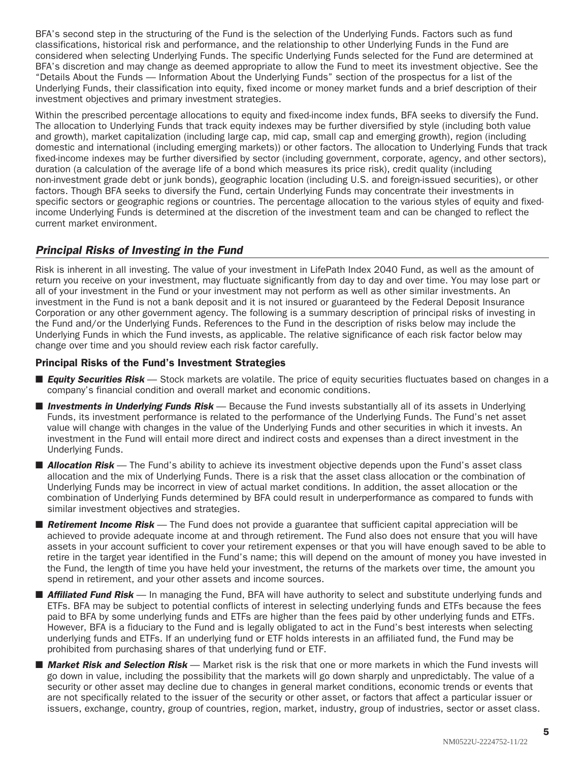BFA's second step in the structuring of the Fund is the selection of the Underlying Funds. Factors such as fund classifications, historical risk and performance, and the relationship to other Underlying Funds in the Fund are considered when selecting Underlying Funds. The specific Underlying Funds selected for the Fund are determined at BFA's discretion and may change as deemed appropriate to allow the Fund to meet its investment objective. See the "Details About the Funds — Information About the Underlying Funds" section of the prospectus for a list of the Underlying Funds, their classification into equity, fixed income or money market funds and a brief description of their investment objectives and primary investment strategies.

Within the prescribed percentage allocations to equity and fixed-income index funds, BFA seeks to diversify the Fund. The allocation to Underlying Funds that track equity indexes may be further diversified by style (including both value and growth), market capitalization (including large cap, mid cap, small cap and emerging growth), region (including domestic and international (including emerging markets)) or other factors. The allocation to Underlying Funds that track fixed-income indexes may be further diversified by sector (including government, corporate, agency, and other sectors), duration (a calculation of the average life of a bond which measures its price risk), credit quality (including non-investment grade debt or junk bonds), geographic location (including U.S. and foreign-issued securities), or other factors. Though BFA seeks to diversify the Fund, certain Underlying Funds may concentrate their investments in specific sectors or geographic regions or countries. The percentage allocation to the various styles of equity and fixedincome Underlying Funds is determined at the discretion of the investment team and can be changed to reflect the current market environment.

## Principal Risks of Investing in the Fund

Risk is inherent in all investing. The value of your investment in LifePath Index 2040 Fund, as well as the amount of return you receive on your investment, may fluctuate significantly from day to day and over time. You may lose part or all of your investment in the Fund or your investment may not perform as well as other similar investments. An investment in the Fund is not a bank deposit and it is not insured or guaranteed by the Federal Deposit Insurance Corporation or any other government agency. The following is a summary description of principal risks of investing in the Fund and/or the Underlying Funds. References to the Fund in the description of risks below may include the Underlying Funds in which the Fund invests, as applicable. The relative significance of each risk factor below may change over time and you should review each risk factor carefully.

## Principal Risks of the Fund's Investment Strategies

- Equity Securities Risk Stock markets are volatile. The price of equity securities fluctuates based on changes in a company's financial condition and overall market and economic conditions.
- Investments in Underlying Funds Risk Because the Fund invests substantially all of its assets in Underlying Funds, its investment performance is related to the performance of the Underlying Funds. The Fund's net asset value will change with changes in the value of the Underlying Funds and other securities in which it invests. An investment in the Fund will entail more direct and indirect costs and expenses than a direct investment in the Underlying Funds.
- **Allocation Risk** The Fund's ability to achieve its investment objective depends upon the Fund's asset class allocation and the mix of Underlying Funds. There is a risk that the asset class allocation or the combination of Underlying Funds may be incorrect in view of actual market conditions. In addition, the asset allocation or the combination of Underlying Funds determined by BFA could result in underperformance as compared to funds with similar investment objectives and strategies.
- Retirement Income Risk The Fund does not provide a guarantee that sufficient capital appreciation will be achieved to provide adequate income at and through retirement. The Fund also does not ensure that you will have assets in your account sufficient to cover your retirement expenses or that you will have enough saved to be able to retire in the target year identified in the Fund's name; this will depend on the amount of money you have invested in the Fund, the length of time you have held your investment, the returns of the markets over time, the amount you spend in retirement, and your other assets and income sources.
- Affiliated Fund Risk In managing the Fund, BFA will have authority to select and substitute underlying funds and ETFs. BFA may be subject to potential conflicts of interest in selecting underlying funds and ETFs because the fees paid to BFA by some underlying funds and ETFs are higher than the fees paid by other underlying funds and ETFs. However, BFA is a fiduciary to the Fund and is legally obligated to act in the Fund's best interests when selecting underlying funds and ETFs. If an underlying fund or ETF holds interests in an affiliated fund, the Fund may be prohibited from purchasing shares of that underlying fund or ETF.
- Market Risk and Selection Risk Market risk is the risk that one or more markets in which the Fund invests will go down in value, including the possibility that the markets will go down sharply and unpredictably. The value of a security or other asset may decline due to changes in general market conditions, economic trends or events that are not specifically related to the issuer of the security or other asset, or factors that affect a particular issuer or issuers, exchange, country, group of countries, region, market, industry, group of industries, sector or asset class.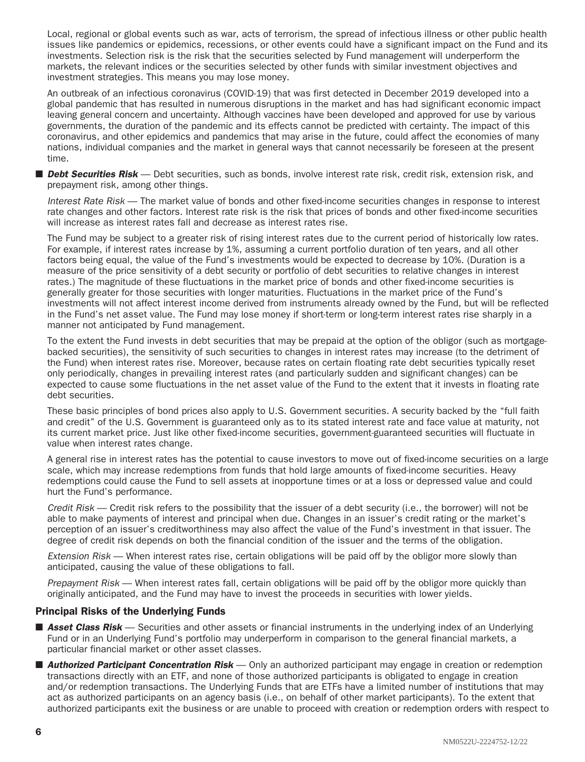Local, regional or global events such as war, acts of terrorism, the spread of infectious illness or other public health issues like pandemics or epidemics, recessions, or other events could have a significant impact on the Fund and its investments. Selection risk is the risk that the securities selected by Fund management will underperform the markets, the relevant indices or the securities selected by other funds with similar investment objectives and investment strategies. This means you may lose money.

An outbreak of an infectious coronavirus (COVID-19) that was first detected in December 2019 developed into a global pandemic that has resulted in numerous disruptions in the market and has had significant economic impact leaving general concern and uncertainty. Although vaccines have been developed and approved for use by various governments, the duration of the pandemic and its effects cannot be predicted with certainty. The impact of this coronavirus, and other epidemics and pandemics that may arise in the future, could affect the economies of many nations, individual companies and the market in general ways that cannot necessarily be foreseen at the present time.

■ Debt Securities Risk — Debt securities, such as bonds, involve interest rate risk, credit risk, extension risk, and prepayment risk, among other things.

Interest Rate Risk — The market value of bonds and other fixed-income securities changes in response to interest rate changes and other factors. Interest rate risk is the risk that prices of bonds and other fixed-income securities will increase as interest rates fall and decrease as interest rates rise.

The Fund may be subject to a greater risk of rising interest rates due to the current period of historically low rates. For example, if interest rates increase by 1%, assuming a current portfolio duration of ten years, and all other factors being equal, the value of the Fund's investments would be expected to decrease by 10%. (Duration is a measure of the price sensitivity of a debt security or portfolio of debt securities to relative changes in interest rates.) The magnitude of these fluctuations in the market price of bonds and other fixed-income securities is generally greater for those securities with longer maturities. Fluctuations in the market price of the Fund's investments will not affect interest income derived from instruments already owned by the Fund, but will be reflected in the Fund's net asset value. The Fund may lose money if short-term or long-term interest rates rise sharply in a manner not anticipated by Fund management.

To the extent the Fund invests in debt securities that may be prepaid at the option of the obligor (such as mortgagebacked securities), the sensitivity of such securities to changes in interest rates may increase (to the detriment of the Fund) when interest rates rise. Moreover, because rates on certain floating rate debt securities typically reset only periodically, changes in prevailing interest rates (and particularly sudden and significant changes) can be expected to cause some fluctuations in the net asset value of the Fund to the extent that it invests in floating rate debt securities.

These basic principles of bond prices also apply to U.S. Government securities. A security backed by the "full faith and credit" of the U.S. Government is guaranteed only as to its stated interest rate and face value at maturity, not its current market price. Just like other fixed-income securities, government-guaranteed securities will fluctuate in value when interest rates change.

A general rise in interest rates has the potential to cause investors to move out of fixed-income securities on a large scale, which may increase redemptions from funds that hold large amounts of fixed-income securities. Heavy redemptions could cause the Fund to sell assets at inopportune times or at a loss or depressed value and could hurt the Fund's performance.

Credit Risk — Credit risk refers to the possibility that the issuer of a debt security (i.e., the borrower) will not be able to make payments of interest and principal when due. Changes in an issuer's credit rating or the market's perception of an issuer's creditworthiness may also affect the value of the Fund's investment in that issuer. The degree of credit risk depends on both the financial condition of the issuer and the terms of the obligation.

Extension Risk — When interest rates rise, certain obligations will be paid off by the obligor more slowly than anticipated, causing the value of these obligations to fall.

Prepayment Risk — When interest rates fall, certain obligations will be paid off by the obligor more quickly than originally anticipated, and the Fund may have to invest the proceeds in securities with lower yields.

## Principal Risks of the Underlying Funds

- Asset Class Risk Securities and other assets or financial instruments in the underlying index of an Underlying Fund or in an Underlying Fund's portfolio may underperform in comparison to the general financial markets, a particular financial market or other asset classes.
- **Authorized Participant Concentration Risk** Only an authorized participant may engage in creation or redemption transactions directly with an ETF, and none of those authorized participants is obligated to engage in creation and/or redemption transactions. The Underlying Funds that are ETFs have a limited number of institutions that may act as authorized participants on an agency basis (i.e., on behalf of other market participants). To the extent that authorized participants exit the business or are unable to proceed with creation or redemption orders with respect to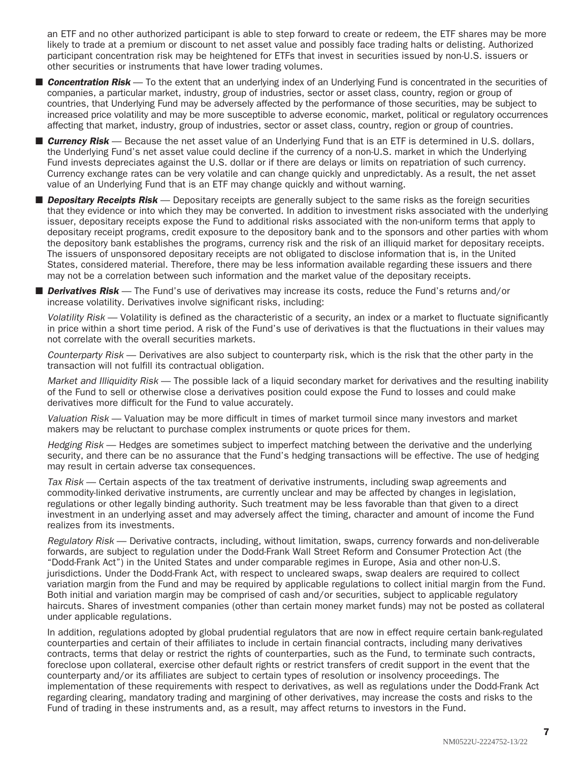an ETF and no other authorized participant is able to step forward to create or redeem, the ETF shares may be more likely to trade at a premium or discount to net asset value and possibly face trading halts or delisting. Authorized participant concentration risk may be heightened for ETFs that invest in securities issued by non-U.S. issuers or other securities or instruments that have lower trading volumes.

- Concentration Risk To the extent that an underlying index of an Underlying Fund is concentrated in the securities of companies, a particular market, industry, group of industries, sector or asset class, country, region or group of countries, that Underlying Fund may be adversely affected by the performance of those securities, may be subject to increased price volatility and may be more susceptible to adverse economic, market, political or regulatory occurrences affecting that market, industry, group of industries, sector or asset class, country, region or group of countries.
- Currency Risk Because the net asset value of an Underlying Fund that is an ETF is determined in U.S. dollars, the Underlying Fund's net asset value could decline if the currency of a non-U.S. market in which the Underlying Fund invests depreciates against the U.S. dollar or if there are delays or limits on repatriation of such currency. Currency exchange rates can be very volatile and can change quickly and unpredictably. As a result, the net asset value of an Underlying Fund that is an ETF may change quickly and without warning.
- **Depositary Receipts Risk** Depositary receipts are generally subject to the same risks as the foreign securities that they evidence or into which they may be converted. In addition to investment risks associated with the underlying issuer, depositary receipts expose the Fund to additional risks associated with the non-uniform terms that apply to depositary receipt programs, credit exposure to the depository bank and to the sponsors and other parties with whom the depository bank establishes the programs, currency risk and the risk of an illiquid market for depositary receipts. The issuers of unsponsored depositary receipts are not obligated to disclose information that is, in the United States, considered material. Therefore, there may be less information available regarding these issuers and there may not be a correlation between such information and the market value of the depositary receipts.
- **Derivatives Risk** The Fund's use of derivatives may increase its costs, reduce the Fund's returns and/or increase volatility. Derivatives involve significant risks, including:

Volatility Risk — Volatility is defined as the characteristic of a security, an index or a market to fluctuate significantly in price within a short time period. A risk of the Fund's use of derivatives is that the fluctuations in their values may not correlate with the overall securities markets.

Counterparty Risk — Derivatives are also subject to counterparty risk, which is the risk that the other party in the transaction will not fulfill its contractual obligation.

Market and Illiquidity Risk — The possible lack of a liquid secondary market for derivatives and the resulting inability of the Fund to sell or otherwise close a derivatives position could expose the Fund to losses and could make derivatives more difficult for the Fund to value accurately.

Valuation Risk — Valuation may be more difficult in times of market turmoil since many investors and market makers may be reluctant to purchase complex instruments or quote prices for them.

Hedging Risk — Hedges are sometimes subject to imperfect matching between the derivative and the underlying security, and there can be no assurance that the Fund's hedging transactions will be effective. The use of hedging may result in certain adverse tax consequences.

Tax Risk — Certain aspects of the tax treatment of derivative instruments, including swap agreements and commodity-linked derivative instruments, are currently unclear and may be affected by changes in legislation, regulations or other legally binding authority. Such treatment may be less favorable than that given to a direct investment in an underlying asset and may adversely affect the timing, character and amount of income the Fund realizes from its investments.

Regulatory Risk — Derivative contracts, including, without limitation, swaps, currency forwards and non-deliverable forwards, are subject to regulation under the Dodd-Frank Wall Street Reform and Consumer Protection Act (the "Dodd-Frank Act") in the United States and under comparable regimes in Europe, Asia and other non-U.S. jurisdictions. Under the Dodd-Frank Act, with respect to uncleared swaps, swap dealers are required to collect variation margin from the Fund and may be required by applicable regulations to collect initial margin from the Fund. Both initial and variation margin may be comprised of cash and/or securities, subject to applicable regulatory haircuts. Shares of investment companies (other than certain money market funds) may not be posted as collateral under applicable regulations.

In addition, regulations adopted by global prudential regulators that are now in effect require certain bank-regulated counterparties and certain of their affiliates to include in certain financial contracts, including many derivatives contracts, terms that delay or restrict the rights of counterparties, such as the Fund, to terminate such contracts, foreclose upon collateral, exercise other default rights or restrict transfers of credit support in the event that the counterparty and/or its affiliates are subject to certain types of resolution or insolvency proceedings. The implementation of these requirements with respect to derivatives, as well as regulations under the Dodd-Frank Act regarding clearing, mandatory trading and margining of other derivatives, may increase the costs and risks to the Fund of trading in these instruments and, as a result, may affect returns to investors in the Fund.

7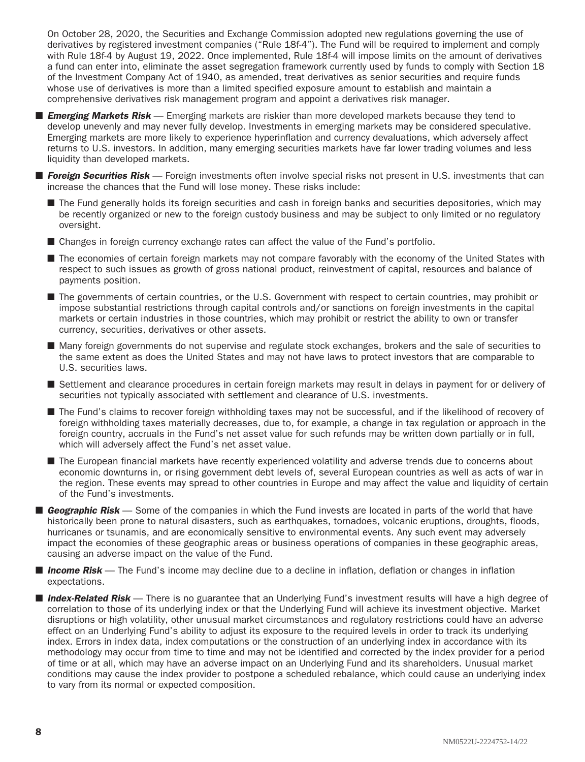On October 28, 2020, the Securities and Exchange Commission adopted new regulations governing the use of derivatives by registered investment companies ("Rule 18f-4"). The Fund will be required to implement and comply with Rule 18f-4 by August 19, 2022. Once implemented, Rule 18f-4 will impose limits on the amount of derivatives a fund can enter into, eliminate the asset segregation framework currently used by funds to comply with Section 18 of the Investment Company Act of 1940, as amended, treat derivatives as senior securities and require funds whose use of derivatives is more than a limited specified exposure amount to establish and maintain a comprehensive derivatives risk management program and appoint a derivatives risk manager.

- **Example Figure 1** Emerging markets are riskier than more developed markets because they tend to develop unevenly and may never fully develop. Investments in emerging markets may be considered speculative. Emerging markets are more likely to experience hyperinflation and currency devaluations, which adversely affect returns to U.S. investors. In addition, many emerging securities markets have far lower trading volumes and less liquidity than developed markets.
- Foreign Securities Risk Foreign investments often involve special risks not present in U.S. investments that can increase the chances that the Fund will lose money. These risks include:
	- The Fund generally holds its foreign securities and cash in foreign banks and securities depositories, which may be recently organized or new to the foreign custody business and may be subject to only limited or no regulatory oversight.
	- Changes in foreign currency exchange rates can affect the value of the Fund's portfolio.
	- The economies of certain foreign markets may not compare favorably with the economy of the United States with respect to such issues as growth of gross national product, reinvestment of capital, resources and balance of payments position.
	- The governments of certain countries, or the U.S. Government with respect to certain countries, may prohibit or impose substantial restrictions through capital controls and/or sanctions on foreign investments in the capital markets or certain industries in those countries, which may prohibit or restrict the ability to own or transfer currency, securities, derivatives or other assets.
	- Many foreign governments do not supervise and regulate stock exchanges, brokers and the sale of securities to the same extent as does the United States and may not have laws to protect investors that are comparable to U.S. securities laws.
	- Settlement and clearance procedures in certain foreign markets may result in delays in payment for or delivery of securities not typically associated with settlement and clearance of U.S. investments.
	- The Fund's claims to recover foreign withholding taxes may not be successful, and if the likelihood of recovery of foreign withholding taxes materially decreases, due to, for example, a change in tax regulation or approach in the foreign country, accruals in the Fund's net asset value for such refunds may be written down partially or in full, which will adversely affect the Fund's net asset value.
	- The European financial markets have recently experienced volatility and adverse trends due to concerns about economic downturns in, or rising government debt levels of, several European countries as well as acts of war in the region. These events may spread to other countries in Europe and may affect the value and liquidity of certain of the Fund's investments.
- Geographic Risk Some of the companies in which the Fund invests are located in parts of the world that have historically been prone to natural disasters, such as earthquakes, tornadoes, volcanic eruptions, droughts, floods, hurricanes or tsunamis, and are economically sensitive to environmental events. Any such event may adversely impact the economies of these geographic areas or business operations of companies in these geographic areas, causing an adverse impact on the value of the Fund.
- Income Risk The Fund's income may decline due to a decline in inflation, deflation or changes in inflation expectations.
- Index-Related Risk There is no guarantee that an Underlying Fund's investment results will have a high degree of correlation to those of its underlying index or that the Underlying Fund will achieve its investment objective. Market disruptions or high volatility, other unusual market circumstances and regulatory restrictions could have an adverse effect on an Underlying Fund's ability to adjust its exposure to the required levels in order to track its underlying index. Errors in index data, index computations or the construction of an underlying index in accordance with its methodology may occur from time to time and may not be identified and corrected by the index provider for a period of time or at all, which may have an adverse impact on an Underlying Fund and its shareholders. Unusual market conditions may cause the index provider to postpone a scheduled rebalance, which could cause an underlying index to vary from its normal or expected composition.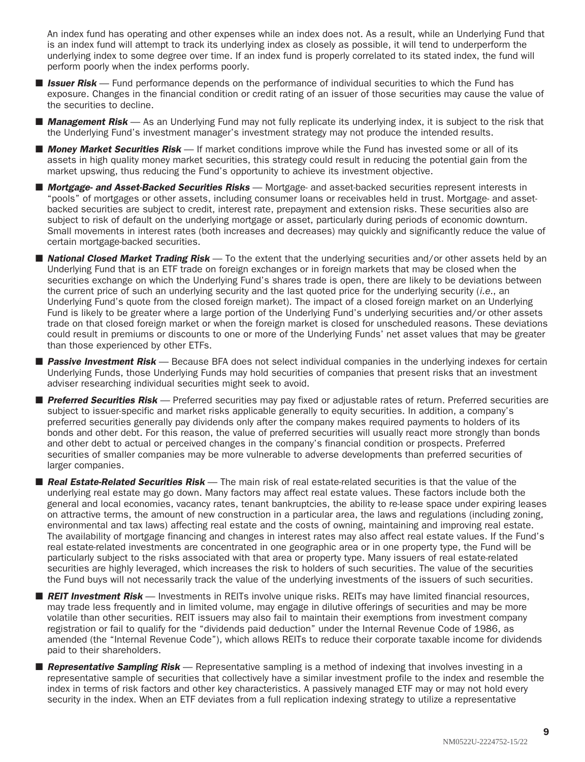An index fund has operating and other expenses while an index does not. As a result, while an Underlying Fund that is an index fund will attempt to track its underlying index as closely as possible, it will tend to underperform the underlying index to some degree over time. If an index fund is properly correlated to its stated index, the fund will perform poorly when the index performs poorly.

- Issuer Risk Fund performance depends on the performance of individual securities to which the Fund has exposure. Changes in the financial condition or credit rating of an issuer of those securities may cause the value of the securities to decline.
- Management Risk As an Underlying Fund may not fully replicate its underlying index, it is subject to the risk that the Underlying Fund's investment manager's investment strategy may not produce the intended results.
- Money Market Securities Risk If market conditions improve while the Fund has invested some or all of its assets in high quality money market securities, this strategy could result in reducing the potential gain from the market upswing, thus reducing the Fund's opportunity to achieve its investment objective.
- Mortgage- and Asset-Backed Securities Risks Mortgage- and asset-backed securities represent interests in "pools" of mortgages or other assets, including consumer loans or receivables held in trust. Mortgage- and assetbacked securities are subject to credit, interest rate, prepayment and extension risks. These securities also are subject to risk of default on the underlying mortgage or asset, particularly during periods of economic downturn. Small movements in interest rates (both increases and decreases) may quickly and significantly reduce the value of certain mortgage-backed securities.
- National Closed Market Trading Risk To the extent that the underlying securities and/or other assets held by an Underlying Fund that is an ETF trade on foreign exchanges or in foreign markets that may be closed when the securities exchange on which the Underlying Fund's shares trade is open, there are likely to be deviations between the current price of such an underlying security and the last quoted price for the underlying security (i.e., an Underlying Fund's quote from the closed foreign market). The impact of a closed foreign market on an Underlying Fund is likely to be greater where a large portion of the Underlying Fund's underlying securities and/or other assets trade on that closed foreign market or when the foreign market is closed for unscheduled reasons. These deviations could result in premiums or discounts to one or more of the Underlying Funds' net asset values that may be greater than those experienced by other ETFs.
- Passive Investment Risk Because BFA does not select individual companies in the underlying indexes for certain Underlying Funds, those Underlying Funds may hold securities of companies that present risks that an investment adviser researching individual securities might seek to avoid.
- Preferred Securities Risk Preferred securities may pay fixed or adjustable rates of return. Preferred securities are subject to issuer-specific and market risks applicable generally to equity securities. In addition, a company's preferred securities generally pay dividends only after the company makes required payments to holders of its bonds and other debt. For this reason, the value of preferred securities will usually react more strongly than bonds and other debt to actual or perceived changes in the company's financial condition or prospects. Preferred securities of smaller companies may be more vulnerable to adverse developments than preferred securities of larger companies.
- Real Estate-Related Securities Risk The main risk of real estate-related securities is that the value of the underlying real estate may go down. Many factors may affect real estate values. These factors include both the general and local economies, vacancy rates, tenant bankruptcies, the ability to re-lease space under expiring leases on attractive terms, the amount of new construction in a particular area, the laws and regulations (including zoning, environmental and tax laws) affecting real estate and the costs of owning, maintaining and improving real estate. The availability of mortgage financing and changes in interest rates may also affect real estate values. If the Fund's real estate-related investments are concentrated in one geographic area or in one property type, the Fund will be particularly subject to the risks associated with that area or property type. Many issuers of real estate-related securities are highly leveraged, which increases the risk to holders of such securities. The value of the securities the Fund buys will not necessarily track the value of the underlying investments of the issuers of such securities.
- REIT Investment Risk Investments in REITs involve unique risks. REITs may have limited financial resources, may trade less frequently and in limited volume, may engage in dilutive offerings of securities and may be more volatile than other securities. REIT issuers may also fail to maintain their exemptions from investment company registration or fail to qualify for the "dividends paid deduction" under the Internal Revenue Code of 1986, as amended (the "Internal Revenue Code"), which allows REITs to reduce their corporate taxable income for dividends paid to their shareholders.
- Representative Sampling Risk Representative sampling is a method of indexing that involves investing in a representative sample of securities that collectively have a similar investment profile to the index and resemble the index in terms of risk factors and other key characteristics. A passively managed ETF may or may not hold every security in the index. When an ETF deviates from a full replication indexing strategy to utilize a representative

9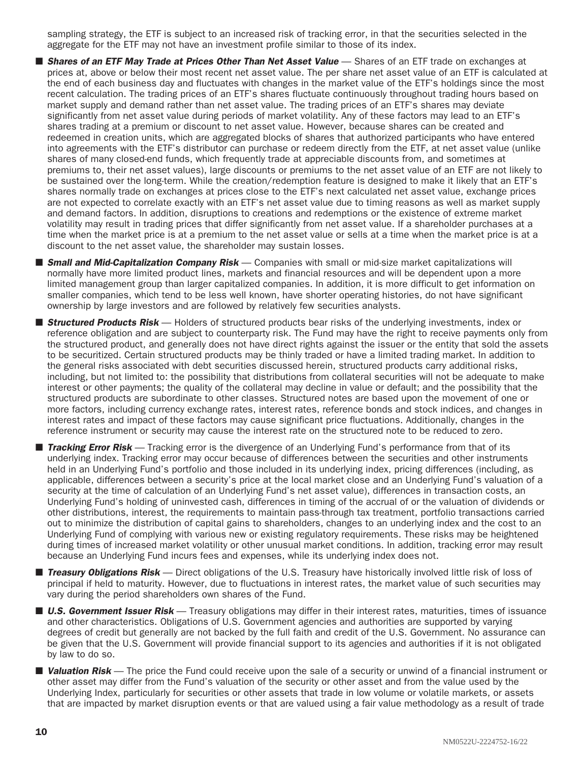sampling strategy, the ETF is subject to an increased risk of tracking error, in that the securities selected in the aggregate for the ETF may not have an investment profile similar to those of its index.

- Shares of an ETF May Trade at Prices Other Than Net Asset Value Shares of an ETF trade on exchanges at prices at, above or below their most recent net asset value. The per share net asset value of an ETF is calculated at the end of each business day and fluctuates with changes in the market value of the ETF's holdings since the most recent calculation. The trading prices of an ETF's shares fluctuate continuously throughout trading hours based on market supply and demand rather than net asset value. The trading prices of an ETF's shares may deviate significantly from net asset value during periods of market volatility. Any of these factors may lead to an ETF's shares trading at a premium or discount to net asset value. However, because shares can be created and redeemed in creation units, which are aggregated blocks of shares that authorized participants who have entered into agreements with the ETF's distributor can purchase or redeem directly from the ETF, at net asset value (unlike shares of many closed-end funds, which frequently trade at appreciable discounts from, and sometimes at premiums to, their net asset values), large discounts or premiums to the net asset value of an ETF are not likely to be sustained over the long-term. While the creation/redemption feature is designed to make it likely that an ETF's shares normally trade on exchanges at prices close to the ETF's next calculated net asset value, exchange prices are not expected to correlate exactly with an ETF's net asset value due to timing reasons as well as market supply and demand factors. In addition, disruptions to creations and redemptions or the existence of extreme market volatility may result in trading prices that differ significantly from net asset value. If a shareholder purchases at a time when the market price is at a premium to the net asset value or sells at a time when the market price is at a discount to the net asset value, the shareholder may sustain losses.
- Small and Mid-Capitalization Company Risk Companies with small or mid-size market capitalizations will normally have more limited product lines, markets and financial resources and will be dependent upon a more limited management group than larger capitalized companies. In addition, it is more difficult to get information on smaller companies, which tend to be less well known, have shorter operating histories, do not have significant ownership by large investors and are followed by relatively few securities analysts.
- **Structured Products Risk** Holders of structured products bear risks of the underlying investments, index or reference obligation and are subject to counterparty risk. The Fund may have the right to receive payments only from the structured product, and generally does not have direct rights against the issuer or the entity that sold the assets to be securitized. Certain structured products may be thinly traded or have a limited trading market. In addition to the general risks associated with debt securities discussed herein, structured products carry additional risks, including, but not limited to: the possibility that distributions from collateral securities will not be adequate to make interest or other payments; the quality of the collateral may decline in value or default; and the possibility that the structured products are subordinate to other classes. Structured notes are based upon the movement of one or more factors, including currency exchange rates, interest rates, reference bonds and stock indices, and changes in interest rates and impact of these factors may cause significant price fluctuations. Additionally, changes in the reference instrument or security may cause the interest rate on the structured note to be reduced to zero.
- Tracking Error Risk Tracking error is the divergence of an Underlying Fund's performance from that of its underlying index. Tracking error may occur because of differences between the securities and other instruments held in an Underlying Fund's portfolio and those included in its underlying index, pricing differences (including, as applicable, differences between a security's price at the local market close and an Underlying Fund's valuation of a security at the time of calculation of an Underlying Fund's net asset value), differences in transaction costs, an Underlying Fund's holding of uninvested cash, differences in timing of the accrual of or the valuation of dividends or other distributions, interest, the requirements to maintain pass-through tax treatment, portfolio transactions carried out to minimize the distribution of capital gains to shareholders, changes to an underlying index and the cost to an Underlying Fund of complying with various new or existing regulatory requirements. These risks may be heightened during times of increased market volatility or other unusual market conditions. In addition, tracking error may result because an Underlying Fund incurs fees and expenses, while its underlying index does not.
- Treasury Obligations Risk Direct obligations of the U.S. Treasury have historically involved little risk of loss of principal if held to maturity. However, due to fluctuations in interest rates, the market value of such securities may vary during the period shareholders own shares of the Fund.
- U.S. Government Issuer Risk Treasury obligations may differ in their interest rates, maturities, times of issuance and other characteristics. Obligations of U.S. Government agencies and authorities are supported by varying degrees of credit but generally are not backed by the full faith and credit of the U.S. Government. No assurance can be given that the U.S. Government will provide financial support to its agencies and authorities if it is not obligated by law to do so.
- Valuation Risk The price the Fund could receive upon the sale of a security or unwind of a financial instrument or other asset may differ from the Fund's valuation of the security or other asset and from the value used by the Underlying Index, particularly for securities or other assets that trade in low volume or volatile markets, or assets that are impacted by market disruption events or that are valued using a fair value methodology as a result of trade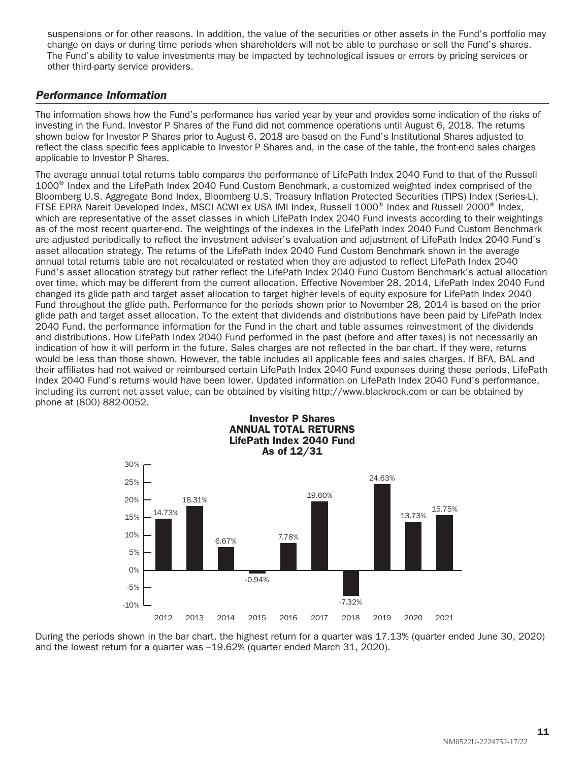suspensions or for other reasons. In addition, the value of the securities or other assets in the Fund's portfolio may change on days or during time periods when shareholders will not be able to purchase or sell the Fund's shares. The Fund's ability to value investments may be impacted by technological issues or errors by pricing services or other third-party service providers.

## Performance Information

The information shows how the Fund's performance has varied year by year and provides some indication of the risks of investing in the Fund. Investor P Shares of the Fund did not commence operations until August 6, 2018. The returns shown below for Investor P Shares prior to August 6, 2018 are based on the Fund's Institutional Shares adjusted to reflect the class specific fees applicable to Investor P Shares and, in the case of the table, the front-end sales charges applicable to Investor P Shares.

The average annual total returns table compares the performance of LifePath Index 2040 Fund to that of the Russell 1000<sup>®</sup> Index and the LifePath Index 2040 Fund Custom Benchmark, a customized weighted index comprised of the Bloomberg U.S. Aggregate Bond Index, Bloomberg U.S. Treasury Inflation Protected Securities (TIPS) Index (Series-L), FTSE EPRA Nareit Developed Index, MSCI ACWI ex USA IMI Index, Russell 1000<sup>®</sup> Index and Russell 2000<sup>®</sup> Index, which are representative of the asset classes in which LifePath Index 2040 Fund invests according to their weightings as of the most recent quarter-end. The weightings of the indexes in the LifePath Index 2040 Fund Custom Benchmark are adjusted periodically to reflect the investment adviser's evaluation and adjustment of LifePath Index 2040 Fund's asset allocation strategy. The returns of the LifePath Index 2040 Fund Custom Benchmark shown in the average annual total returns table are not recalculated or restated when they are adjusted to reflect LifePath Index 2040 Fund's asset allocation strategy but rather reflect the LifePath Index 2040 Fund Custom Benchmark's actual allocation over time, which may be different from the current allocation. Effective November 28, 2014, LifePath Index 2040 Fund changed its glide path and target asset allocation to target higher levels of equity exposure for LifePath Index 2040 Fund throughout the glide path. Performance for the periods shown prior to November 28, 2014 is based on the prior glide path and target asset allocation. To the extent that dividends and distributions have been paid by LifePath Index 2040 Fund, the performance information for the Fund in the chart and table assumes reinvestment of the dividends and distributions. How LifePath Index 2040 Fund performed in the past (before and after taxes) is not necessarily an indication of how it will perform in the future. Sales charges are not reflected in the bar chart. If they were, returns would be less than those shown. However, the table includes all applicable fees and sales charges. If BFA, BAL and their affiliates had not waived or reimbursed certain LifePath Index 2040 Fund expenses during these periods, LifePath Index 2040 Fund's returns would have been lower. Updated information on LifePath Index 2040 Fund's performance, including its current net asset value, can be obtained by visiting http://www.blackrock.com or can be obtained by phone at (800) 882-0052.



Investor P Shares

During the periods shown in the bar chart, the highest return for a quarter was 17.13% (quarter ended June 30, 2020) and the lowest return for a quarter was –19.62% (quarter ended March 31, 2020).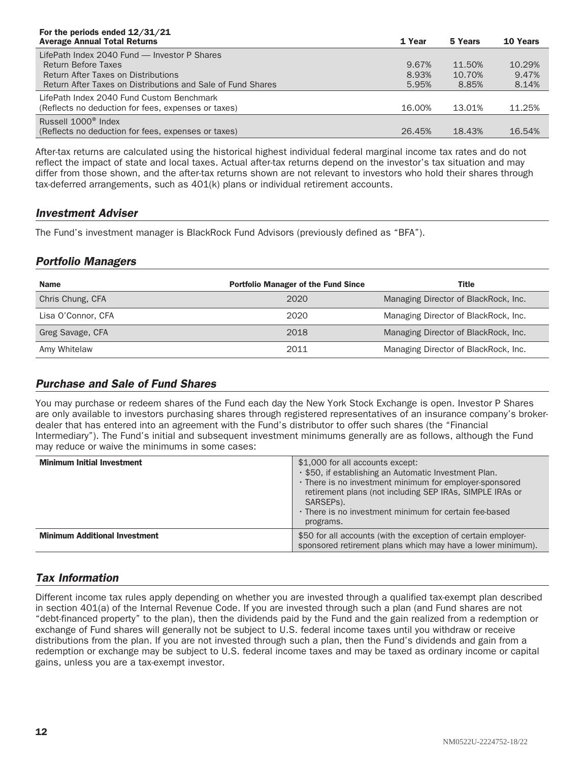| For the periods ended $12/31/21$<br><b>Average Annual Total Returns</b> | 1 Year | 5 Years | 10 Years |
|-------------------------------------------------------------------------|--------|---------|----------|
| LifePath Index 2040 Fund - Investor P Shares                            |        |         |          |
| Return Before Taxes                                                     | 9.67%  | 11.50%  | 10.29%   |
| Return After Taxes on Distributions                                     | 8.93%  | 10.70%  | 9.47%    |
| Return After Taxes on Distributions and Sale of Fund Shares             | 5.95%  | 8.85%   | 8.14%    |
| LifePath Index 2040 Fund Custom Benchmark                               |        |         |          |
| (Reflects no deduction for fees, expenses or taxes)                     | 16.00% | 13.01%  | 11.25%   |
| Russell 1000 <sup>®</sup> Index                                         |        |         |          |
| (Reflects no deduction for fees, expenses or taxes)                     | 26.45% | 18.43%  | 16.54%   |

After-tax returns are calculated using the historical highest individual federal marginal income tax rates and do not reflect the impact of state and local taxes. Actual after-tax returns depend on the investor's tax situation and may differ from those shown, and the after-tax returns shown are not relevant to investors who hold their shares through tax-deferred arrangements, such as 401(k) plans or individual retirement accounts.

## Investment Adviser

The Fund's investment manager is BlackRock Fund Advisors (previously defined as "BFA").

## Portfolio Managers

| <b>Name</b>        | <b>Portfolio Manager of the Fund Since</b> | Title                                |
|--------------------|--------------------------------------------|--------------------------------------|
| Chris Chung, CFA   | 2020                                       | Managing Director of BlackRock, Inc. |
| Lisa O'Connor, CFA | 2020                                       | Managing Director of BlackRock, Inc. |
| Greg Savage, CFA   | 2018                                       | Managing Director of BlackRock, Inc. |
| Amy Whitelaw       | 2011                                       | Managing Director of BlackRock, Inc. |

## Purchase and Sale of Fund Shares

You may purchase or redeem shares of the Fund each day the New York Stock Exchange is open. Investor P Shares are only available to investors purchasing shares through registered representatives of an insurance company's brokerdealer that has entered into an agreement with the Fund's distributor to offer such shares (the "Financial Intermediary"). The Fund's initial and subsequent investment minimums generally are as follows, although the Fund may reduce or waive the minimums in some cases:

| <b>Minimum Initial Investment</b>    | \$1,000 for all accounts except:<br>. \$50, if establishing an Automatic Investment Plan.<br>· There is no investment minimum for employer-sponsored<br>retirement plans (not including SEP IRAs, SIMPLE IRAs or<br>SARSEPS).<br>. There is no investment minimum for certain fee-based<br>programs. |
|--------------------------------------|------------------------------------------------------------------------------------------------------------------------------------------------------------------------------------------------------------------------------------------------------------------------------------------------------|
| <b>Minimum Additional Investment</b> | \$50 for all accounts (with the exception of certain employer-<br>sponsored retirement plans which may have a lower minimum).                                                                                                                                                                        |

## Tax Information

Different income tax rules apply depending on whether you are invested through a qualified tax-exempt plan described in section 401(a) of the Internal Revenue Code. If you are invested through such a plan (and Fund shares are not "debt-financed property" to the plan), then the dividends paid by the Fund and the gain realized from a redemption or exchange of Fund shares will generally not be subject to U.S. federal income taxes until you withdraw or receive distributions from the plan. If you are not invested through such a plan, then the Fund's dividends and gain from a redemption or exchange may be subject to U.S. federal income taxes and may be taxed as ordinary income or capital gains, unless you are a tax-exempt investor.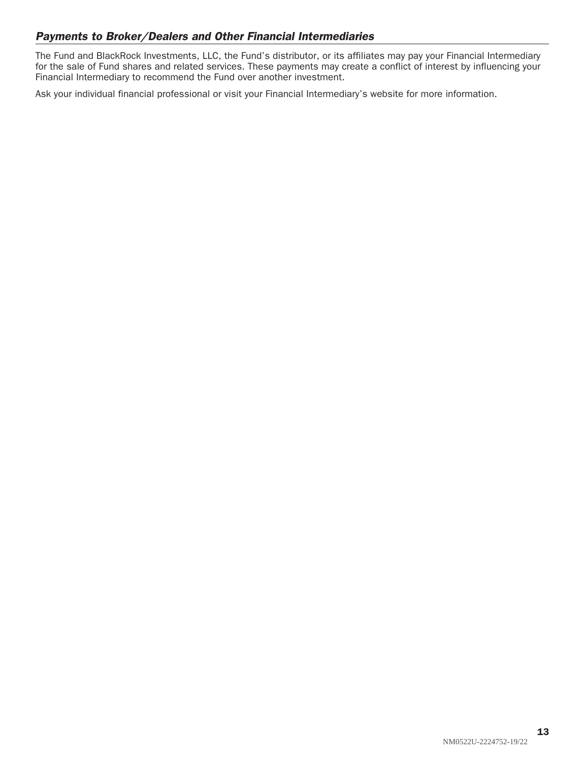The Fund and BlackRock Investments, LLC, the Fund's distributor, or its affiliates may pay your Financial Intermediary for the sale of Fund shares and related services. These payments may create a conflict of interest by influencing your Financial Intermediary to recommend the Fund over another investment.

Ask your individual financial professional or visit your Financial Intermediary's website for more information.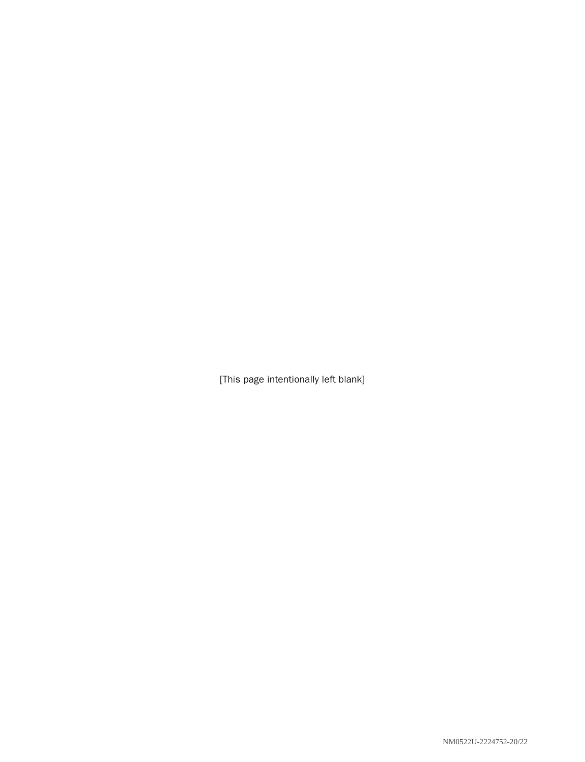[This page intentionally left blank]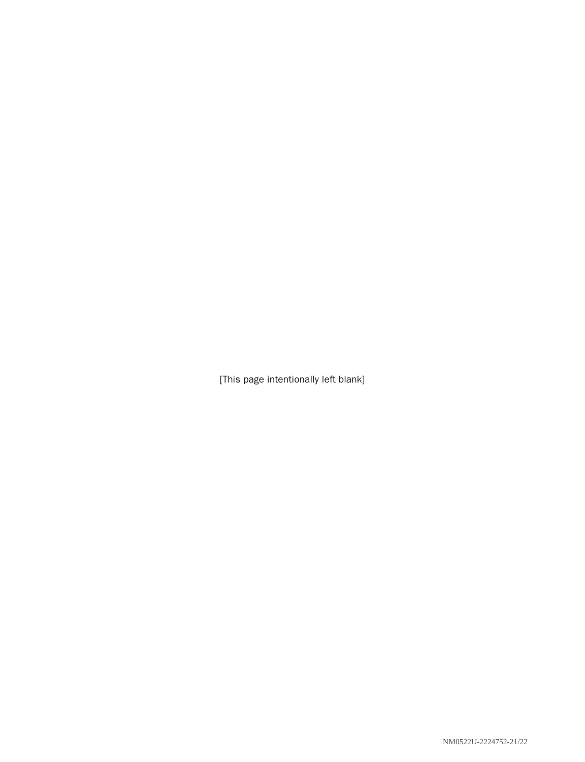[This page intentionally left blank]